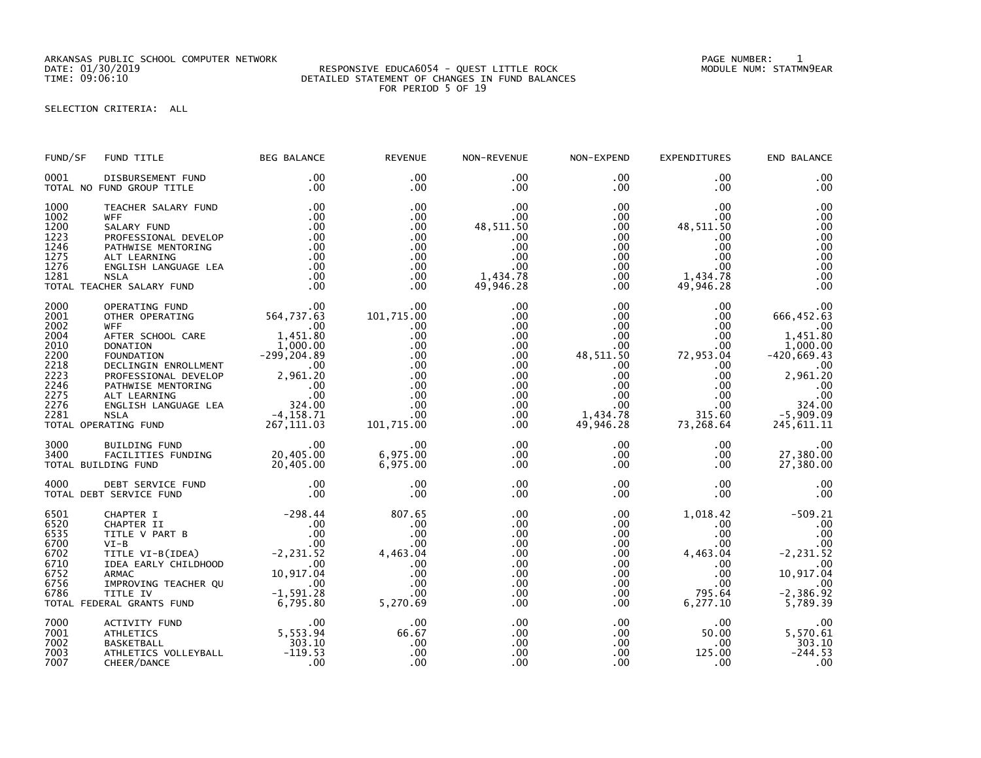ARKANSAS PUBLIC SCHOOL COMPUTER NETWORK PAGE NUMBER: 1

## SELECTION CRITERIA: ALL

| FUND/SF                                                                                      | FUND TITLE                                                                                                                                                                                                                                                                                                                                                          | <b>BEG BALANCE</b>                                           | <b>REVENUE</b>                                                                                             | NON-REVENUE                                                                                                 | NON-EXPEND                                                                                                                                  | <b>EXPENDITURES</b>                                                                                                                 | END BALANCE                                                                                                                               |
|----------------------------------------------------------------------------------------------|---------------------------------------------------------------------------------------------------------------------------------------------------------------------------------------------------------------------------------------------------------------------------------------------------------------------------------------------------------------------|--------------------------------------------------------------|------------------------------------------------------------------------------------------------------------|-------------------------------------------------------------------------------------------------------------|---------------------------------------------------------------------------------------------------------------------------------------------|-------------------------------------------------------------------------------------------------------------------------------------|-------------------------------------------------------------------------------------------------------------------------------------------|
| 0001                                                                                         | DISBURSEMENT FUND<br>TOTAL NO FUND GROUP TITLE                                                                                                                                                                                                                                                                                                                      | .00<br>.00                                                   | .00<br>$.00 \times$                                                                                        | .00<br>.00                                                                                                  | $.00 \,$<br>$.00 \,$                                                                                                                        | .00<br>.00                                                                                                                          | .00<br>.00                                                                                                                                |
| 1000<br>1002<br>1200<br>1223<br>1246<br>1275<br>1276<br>1281                                 | TEACHER SALARY FUND<br><b>WFF</b><br>SALARY FUND<br>PROFESSIONAL DEVELOP<br>PATHWISE MENTORING<br>ALT LEARNING<br>ENGLISH LANGUAGE LEA<br><b>NSLA</b><br>TOTAL TEACHER SALARY FUND                                                                                                                                                                                  | .00<br>.00<br>.00<br>.00<br>.00<br>.00<br>.00<br>.00<br>.00  | .00<br>.00<br>$.00 \times$<br>$.00 \times$<br>$.00 \times$<br>.00<br>$.00 \times$<br>.00<br>.00            | .00<br>.00<br>48,511.50<br>.00<br>.00<br>.00<br>.00<br>1,434.78<br>49,946.28                                | $.00 \,$<br>$.00 \,$<br>$.00 \,$<br>$.00 \,$<br>$.00 \,$<br>$.00 \cdot$<br>$.00 \,$<br>$.00 \,$<br>$.00 \times$                             | .00<br>.00<br>48,511.50<br>.00.<br>$.00 \,$<br>.00<br>$.00 \,$<br>1,434.78<br>49,946.28                                             | .00<br>.00<br>.00<br>.00<br>.00<br>.00<br>.00<br>.00<br>.00                                                                               |
| 2000<br>2001<br>2002<br>2004<br>2010<br>2200<br>2218<br>2223<br>2246<br>2275<br>2276<br>2281 | OPERATING FUND<br>OTHER OPERATING<br><b>WFF</b><br>AFTER SCHOOL CARE<br><b>DONATION</b><br>DONATION 1,000.00<br>FOUNDATION -299,204.89<br>DECLINGIN ENROLLMENT .00<br>DECLINGIN ENROLLMENT .00<br>PROFESSIONAL DEVELOP 2,961.20<br>PATHWISE MENTORING .00<br>ALT LEARNING .00<br>ALT LEARNING .00<br>ENGLISH LANGUAGE LEA 324.00<br>NSLA -4<br>TOTAL OPERATING FUND | 00.<br>564, 737. 63<br>00. 121. 130.<br>1,451.80<br>1,000.00 | .00<br>101,715.00<br>$.00 \,$<br>.00<br>.00<br>.00<br>.00<br>.00<br>.00<br>.00<br>.00<br>.00<br>101,715.00 | .00<br>.00<br>.00<br>.00<br>.00<br>.00<br>.00<br>.00<br>$.00 \,$<br>$.00 \,$<br>$.00 \,$<br>$.00 \,$<br>.00 | $.00 \,$<br>$.00 \,$<br>$.00 \,$<br>$.00 \,$<br>.00<br>48,511.50<br>.00<br>.00<br>$.00 \,$<br>$.00 \,$<br>$.00 \,$<br>1,434.78<br>49,946.28 | .00<br>$.00 \,$<br>$.00 \times$<br>.00<br>.00<br>72,953.04<br>$.00 \,$<br>.00<br>$.00 \,$<br>.00<br>$.00 \,$<br>315.60<br>73,268.64 | .00<br>666,452.63<br>.00<br>1,451.80<br>1,000.00<br>$-420,669.43$<br>.00<br>2,961.20<br>.00<br>.00<br>324.00<br>$-5,909.09$<br>245,611.11 |
| 3000<br>3400                                                                                 | BUILDING FUND<br>FACILITIES FUNDING 20,405.00<br>TOTAL BUILDING FUND                                                                                                                                                                                                                                                                                                | 20,405.00                                                    | .00<br>6,975.00<br>6,975.00                                                                                | $.00 \,$<br>.00<br>.00                                                                                      | $.00 \,$<br>$.00 \,$<br>.00                                                                                                                 | $.00 \,$<br>.00<br>.00                                                                                                              | .00<br>27,380.00<br>27,380.00                                                                                                             |
| 4000                                                                                         | DEBT SERVICE FUND<br>TOTAL DEBT SERVICE FUND                                                                                                                                                                                                                                                                                                                        | .00<br>.00                                                   | .00<br>.00                                                                                                 | .00<br>.00                                                                                                  | $.00 \times$<br>$.00 \,$                                                                                                                    | $.00 \,$<br>$.00 \,$                                                                                                                | .00<br>.00                                                                                                                                |
| 6501<br>6520<br>6535<br>6700<br>6702<br>6710<br>6752<br>6756<br>6786                         | CHAPTER I<br>CHAPTER II<br>TITLE V PART B<br>$VI-B$<br>TITLE VI-B(IDEA)<br>IDEA EARLY CHILDHOOD<br><b>ARMAC</b><br>IMPROVING TEACHER QU<br>TITLE IV<br>TOTAL FEDERAL GRANTS FUND                                                                                                                                                                                    | $-298.44$<br>$\sim$ 00<br>$-1,591.28$<br>6,795.80            | 807.65<br>.00<br>.00<br>.00<br>4,463.04<br>.00<br>.00<br>.00<br>.00<br>5,270.69                            | .00<br>.00<br>.00<br>.00<br>.00<br>.00<br>.00<br>.00<br>.00<br>.00                                          | .00<br>$.00 \,$<br>.00<br>$.00 \,$<br>$.00 \,$<br>.00<br>$.00 \,$<br>$.00 \,$<br>$.00 \,$<br>$.00 \,$                                       | 1,018.42<br>.00<br>.00<br>.00.<br>4,463.04<br>.00.<br>.00<br>.00<br>795.64<br>6,277.10                                              | $-509.21$<br>.00<br>.00<br>.00<br>$-2, 231.52$<br>.00<br>10,917.04<br>.00<br>$-2,386.92$<br>5,789.39                                      |
| 7000<br>7001<br>7002<br>7003<br>7007                                                         | ACTIVITY FUND<br><b>ATHLETICS</b><br><b>BASKETBALL</b><br>ATHLETICS VOLLEYBALL<br>CHEER/DANCE                                                                                                                                                                                                                                                                       | .00<br>5,553.94<br>303.10<br>$-119.53$<br>.00                | .00<br>66.67<br>.00<br>.00<br>.00                                                                          | .00<br>.00<br>.00<br>.00<br>.00                                                                             | $.00 \,$<br>$.00 \,$<br>$.00 \,$<br>$.00 \,$<br>.00                                                                                         | $.00 \,$<br>50.00<br>.00<br>125.00<br>.00                                                                                           | .00<br>5,570.61<br>303.10<br>$-244.53$<br>.00                                                                                             |